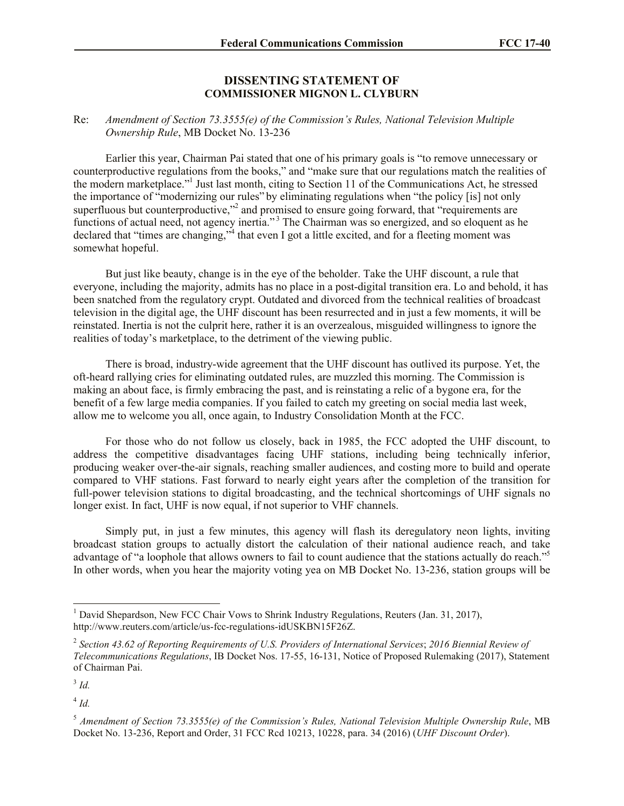## **DISSENTING STATEMENT OF COMMISSIONER MIGNON L. CLYBURN**

## Re: *Amendment of Section 73.3555(e) of the Commission's Rules, National Television Multiple Ownership Rule*, MB Docket No. 13-236

Earlier this year, Chairman Pai stated that one of his primary goals is "to remove unnecessary or counterproductive regulations from the books," and "make sure that our regulations match the realities of the modern marketplace."<sup>1</sup> Just last month, citing to Section 11 of the Communications Act, he stressed the importance of "modernizing our rules" by eliminating regulations when "the policy [is] not only superfluous but counterproductive,"<sup>2</sup> and promised to ensure going forward, that "requirements are functions of actual need, not agency inertia."<sup>3</sup> The Chairman was so energized, and so eloquent as he declared that "times are changing,"<sup>4</sup> that even I got a little excited, and for a fleeting moment was somewhat hopeful.

But just like beauty, change is in the eye of the beholder. Take the UHF discount, a rule that everyone, including the majority, admits has no place in a post-digital transition era. Lo and behold, it has been snatched from the regulatory crypt. Outdated and divorced from the technical realities of broadcast television in the digital age, the UHF discount has been resurrected and in just a few moments, it will be reinstated. Inertia is not the culprit here, rather it is an overzealous, misguided willingness to ignore the realities of today's marketplace, to the detriment of the viewing public.

There is broad, industry-wide agreement that the UHF discount has outlived its purpose. Yet, the oft-heard rallying cries for eliminating outdated rules, are muzzled this morning. The Commission is making an about face, is firmly embracing the past, and is reinstating a relic of a bygone era, for the benefit of a few large media companies. If you failed to catch my greeting on social media last week, allow me to welcome you all, once again, to Industry Consolidation Month at the FCC.

For those who do not follow us closely, back in 1985, the FCC adopted the UHF discount, to address the competitive disadvantages facing UHF stations, including being technically inferior, producing weaker over-the-air signals, reaching smaller audiences, and costing more to build and operate compared to VHF stations. Fast forward to nearly eight years after the completion of the transition for full-power television stations to digital broadcasting, and the technical shortcomings of UHF signals no longer exist. In fact, UHF is now equal, if not superior to VHF channels.

Simply put, in just a few minutes, this agency will flash its deregulatory neon lights, inviting broadcast station groups to actually distort the calculation of their national audience reach, and take advantage of "a loophole that allows owners to fail to count audience that the stations actually do reach."<sup>5</sup> In other words, when you hear the majority voting yea on MB Docket No. 13-236, station groups will be

 $\overline{\phantom{a}}$ 

4 *Id.*

<sup>&</sup>lt;sup>1</sup> David Shepardson, New FCC Chair Vows to Shrink Industry Regulations, Reuters (Jan. 31, 2017), http://www.reuters.com/article/us-fcc-regulations-idUSKBN15F26Z.

<sup>2</sup> *Section 43.62 of Reporting Requirements of U.S. Providers of International Services*; *2016 Biennial Review of Telecommunications Regulations*, IB Docket Nos. 17-55, 16-131, Notice of Proposed Rulemaking (2017), Statement of Chairman Pai.

<sup>3</sup> *Id.*

<sup>5</sup> *Amendment of Section 73.3555(e) of the Commission's Rules, National Television Multiple Ownership Rule*, MB Docket No. 13-236, Report and Order, 31 FCC Rcd 10213, 10228, para. 34 (2016) (*UHF Discount Order*).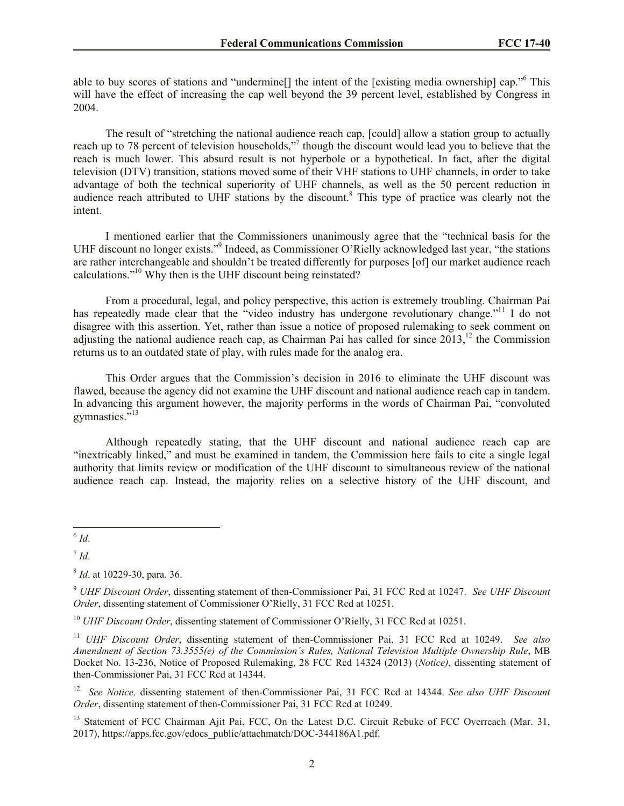able to buy scores of stations and "undermine[] the intent of the [existing media ownership] cap."<sup>6</sup> This will have the effect of increasing the cap well beyond the 39 percent level, established by Congress in 2004.

The result of "stretching the national audience reach cap, [could] allow a station group to actually reach up to 78 percent of television households,"<sup>7</sup> though the discount would lead you to believe that the reach is much lower. This absurd result is not hyperbole or a hypothetical. In fact, after the digital television (DTV) transition, stations moved some of their VHF stations to UHF channels, in order to take advantage of both the technical superiority of UHF channels, as well as the 50 percent reduction in audience reach attributed to UHF stations by the discount.<sup>8</sup> This type of practice was clearly not the intent.

I mentioned earlier that the Commissioners unanimously agree that the "technical basis for the UHF discount no longer exists."<sup>9</sup> Indeed, as Commissioner O'Rielly acknowledged last year, "the stations are rather interchangeable and shouldn't be treated differently for purposes [of] our market audience reach calculations."<sup>10</sup> Why then is the UHF discount being reinstated?

From a procedural, legal, and policy perspective, this action is extremely troubling. Chairman Pai has repeatedly made clear that the "video industry has undergone revolutionary change."<sup>11</sup> I do not disagree with this assertion. Yet, rather than issue a notice of proposed rulemaking to seek comment on adjusting the national audience reach cap, as Chairman Pai has called for since  $2013$ ,<sup>12</sup> the Commission returns us to an outdated state of play, with rules made for the analog era.

This Order argues that the Commission's decision in 2016 to eliminate the UHF discount was flawed, because the agency did not examine the UHF discount and national audience reach cap in tandem. In advancing this argument however, the majority performs in the words of Chairman Pai, "convoluted gymnastics."<sup>13</sup>

Although repeatedly stating, that the UHF discount and national audience reach cap are "inextricably linked," and must be examined in tandem, the Commission here fails to cite a single legal authority that limits review or modification of the UHF discount to simultaneous review of the national audience reach cap. Instead, the majority relies on a selective history of the UHF discount, and

 $\frac{6}{1}$ *d*.

7 *Id*.

<sup>10</sup> *UHF Discount Order*, dissenting statement of Commissioner O'Rielly, 31 FCC Rcd at 10251.

<sup>8</sup> *Id*. at 10229-30, para. 36.

<sup>9</sup> *UHF Discount Order*, dissenting statement of then-Commissioner Pai, 31 FCC Rcd at 10247. *See UHF Discount Order*, dissenting statement of Commissioner O'Rielly, 31 FCC Rcd at 10251.

<sup>11</sup> *UHF Discount Order*, dissenting statement of then-Commissioner Pai, 31 FCC Rcd at 10249. *See also Amendment of Section 73.3555(e) of the Commission's Rules, National Television Multiple Ownership Rule*, MB Docket No. 13-236, Notice of Proposed Rulemaking, 28 FCC Rcd 14324 (2013) (*Notice)*, dissenting statement of then-Commissioner Pai, 31 FCC Rcd at 14344.

<sup>&</sup>lt;sup>12</sup> See Notice, dissenting statement of then-Commissioner Pai, 31 FCC Rcd at 14344. See also UHF Discount *Order*, dissenting statement of then-Commissioner Pai, 31 FCC Rcd at 10249.

<sup>&</sup>lt;sup>13</sup> Statement of FCC Chairman Ajit Pai, FCC, On the Latest D.C. Circuit Rebuke of FCC Overreach (Mar. 31, 2017), https://apps.fcc.gov/edocs\_public/attachmatch/DOC-344186A1.pdf.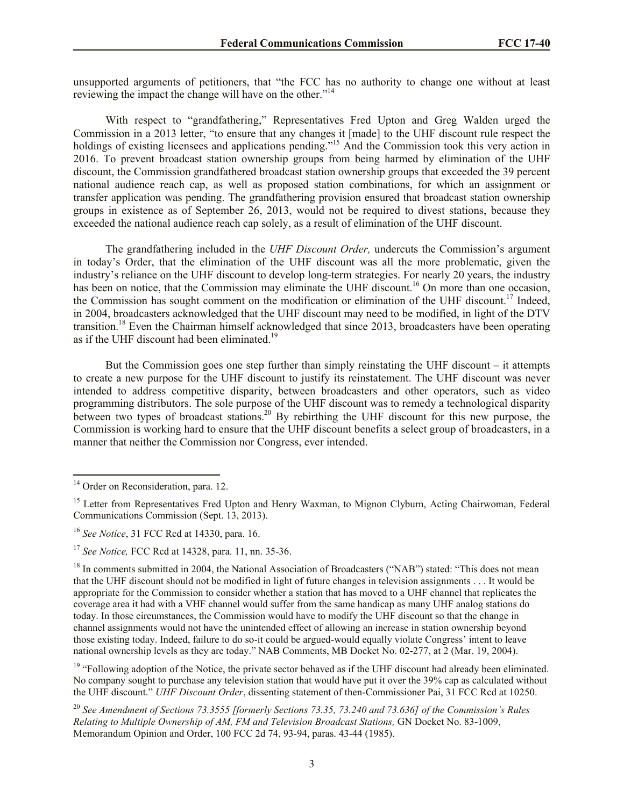unsupported arguments of petitioners, that "the FCC has no authority to change one without at least reviewing the impact the change will have on the other."<sup>14</sup>

With respect to "grandfathering," Representatives Fred Upton and Greg Walden urged the Commission in a 2013 letter, "to ensure that any changes it [made] to the UHF discount rule respect the holdings of existing licensees and applications pending."<sup>15</sup> And the Commission took this very action in 2016. To prevent broadcast station ownership groups from being harmed by elimination of the UHF discount, the Commission grandfathered broadcast station ownership groups that exceeded the 39 percent national audience reach cap, as well as proposed station combinations, for which an assignment or transfer application was pending. The grandfathering provision ensured that broadcast station ownership groups in existence as of September 26, 2013, would not be required to divest stations, because they exceeded the national audience reach cap solely, as a result of elimination of the UHF discount.

The grandfathering included in the *UHF Discount Order,* undercuts the Commission's argument in today's Order, that the elimination of the UHF discount was all the more problematic, given the industry's reliance on the UHF discount to develop long-term strategies. For nearly 20 years, the industry has been on notice, that the Commission may eliminate the UHF discount.<sup>16</sup> On more than one occasion, the Commission has sought comment on the modification or elimination of the UHF discount.<sup>17</sup> Indeed, in 2004, broadcasters acknowledged that the UHF discount may need to be modified, in light of the DTV transition.<sup>18</sup> Even the Chairman himself acknowledged that since 2013, broadcasters have been operating as if the UHF discount had been eliminated.<sup>19</sup>

But the Commission goes one step further than simply reinstating the UHF discount – it attempts to create a new purpose for the UHF discount to justify its reinstatement. The UHF discount was never intended to address competitive disparity, between broadcasters and other operators, such as video programming distributors. The sole purpose of the UHF discount was to remedy a technological disparity between two types of broadcast stations.<sup>20</sup> By rebirthing the UHF discount for this new purpose, the Commission is working hard to ensure that the UHF discount benefits a select group of broadcasters, in a manner that neither the Commission nor Congress, ever intended.

 $\overline{\phantom{a}}$ 

 $19$  "Following adoption of the Notice, the private sector behaved as if the UHF discount had already been eliminated. No company sought to purchase any television station that would have put it over the 39% cap as calculated without the UHF discount." *UHF Discount Order*, dissenting statement of then-Commissioner Pai, 31 FCC Rcd at 10250.

<sup>&</sup>lt;sup>14</sup> Order on Reconsideration, para. 12.

<sup>&</sup>lt;sup>15</sup> Letter from Representatives Fred Upton and Henry Waxman, to Mignon Clyburn, Acting Chairwoman, Federal Communications Commission (Sept. 13, 2013).

<sup>16</sup> *See Notice*, 31 FCC Rcd at 14330, para. 16.

<sup>17</sup> *See Notice,* FCC Rcd at 14328, para. 11, nn. 35-36.

<sup>&</sup>lt;sup>18</sup> In comments submitted in 2004, the National Association of Broadcasters ("NAB") stated: "This does not mean that the UHF discount should not be modified in light of future changes in television assignments . . . It would be appropriate for the Commission to consider whether a station that has moved to a UHF channel that replicates the coverage area it had with a VHF channel would suffer from the same handicap as many UHF analog stations do today. In those circumstances, the Commission would have to modify the UHF discount so that the change in channel assignments would not have the unintended effect of allowing an increase in station ownership beyond those existing today. Indeed, failure to do so-it could be argued-would equally violate Congress' intent to leave national ownership levels as they are today." NAB Comments, MB Docket No. 02-277, at 2 (Mar. 19, 2004).

<sup>20</sup> *See Amendment of Sections 73.3555 [formerly Sections 73.35, 73.240 and 73.636] of the Commission's Rules Relating to Multiple Ownership of AM, FM and Television Broadcast Stations,* GN Docket No. 83-1009, Memorandum Opinion and Order, 100 FCC 2d 74, 93-94, paras. 43-44 (1985).